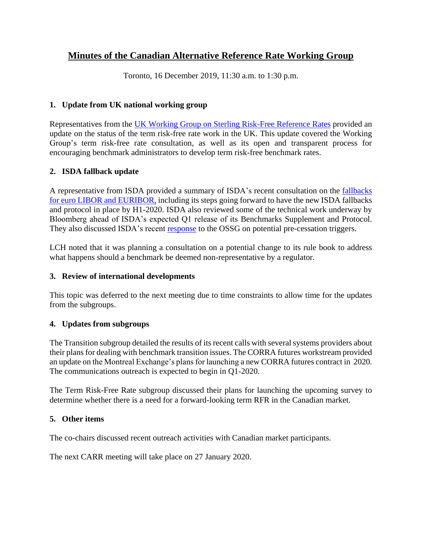# **Minutes of the Canadian Alternative Reference Rate Working Group**

Toronto, 16 December 2019, 11:30 a.m. to 1:30 p.m.

# **1. Update from UK national working group**

Representatives from the [UK Working Group on Sterling Risk-Free Reference Rates](https://www.bankofengland.co.uk/markets/transition-to-sterling-risk-free-rates-from-libor) provided an update on the status of the term risk-free rate work in the UK. This update covered the Working Group's term risk-free rate consultation, as well as its open and transparent process for encouraging benchmark administrators to develop term risk-free benchmark rates.

# **2. ISDA fallback update**

A representative from ISDA provided a summary of ISDA's recent consultation on the [fallbacks](https://www.isda.org/2019/12/18/isda-launches-consultation-on-fallbacks-for-euro-libor-and-euribor/)  [for euro LIBOR and EURIBOR,](https://www.isda.org/2019/12/18/isda-launches-consultation-on-fallbacks-for-euro-libor-and-euribor/) including its steps going forward to have the new ISDA fallbacks and protocol in place by H1-2020. ISDA also reviewed some of the technical work underway by Bloomberg ahead of ISDA's expected Q1 release of its Benchmarks Supplement and Protocol. They also discussed ISDA's recent [response](https://www.isda.org/2019/12/04/isda-letter-to-fsb-ossg-on-pre-cessation-issues/) to the OSSG on potential pre-cessation triggers.

LCH noted that it was planning a consultation on a potential change to its rule book to address what happens should a benchmark be deemed non-representative by a regulator.

## **3. Review of international developments**

This topic was deferred to the next meeting due to time constraints to allow time for the updates from the subgroups.

## **4. Updates from subgroups**

The Transition subgroup detailed the results of its recent calls with several systems providers about their plans for dealing with benchmark transition issues. The CORRA futures workstream provided an update on the Montreal Exchange's plans for launching a new CORRA futures contract in 2020. The communications outreach is expected to begin in Q1-2020.

The Term Risk-Free Rate subgroup discussed their plans for launching the upcoming survey to determine whether there is a need for a forward-looking term RFR in the Canadian market.

## **5. Other items**

The co-chairs discussed recent outreach activities with Canadian market participants.

The next CARR meeting will take place on 27 January 2020.